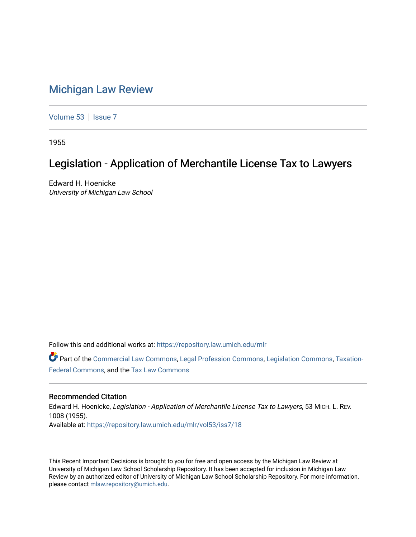## [Michigan Law Review](https://repository.law.umich.edu/mlr)

[Volume 53](https://repository.law.umich.edu/mlr/vol53) | [Issue 7](https://repository.law.umich.edu/mlr/vol53/iss7)

1955

## Legislation - Application of Merchantile License Tax to Lawyers

Edward H. Hoenicke University of Michigan Law School

Follow this and additional works at: [https://repository.law.umich.edu/mlr](https://repository.law.umich.edu/mlr?utm_source=repository.law.umich.edu%2Fmlr%2Fvol53%2Fiss7%2F18&utm_medium=PDF&utm_campaign=PDFCoverPages) 

Part of the [Commercial Law Commons](http://network.bepress.com/hgg/discipline/586?utm_source=repository.law.umich.edu%2Fmlr%2Fvol53%2Fiss7%2F18&utm_medium=PDF&utm_campaign=PDFCoverPages), [Legal Profession Commons](http://network.bepress.com/hgg/discipline/1075?utm_source=repository.law.umich.edu%2Fmlr%2Fvol53%2Fiss7%2F18&utm_medium=PDF&utm_campaign=PDFCoverPages), [Legislation Commons,](http://network.bepress.com/hgg/discipline/859?utm_source=repository.law.umich.edu%2Fmlr%2Fvol53%2Fiss7%2F18&utm_medium=PDF&utm_campaign=PDFCoverPages) [Taxation-](http://network.bepress.com/hgg/discipline/881?utm_source=repository.law.umich.edu%2Fmlr%2Fvol53%2Fiss7%2F18&utm_medium=PDF&utm_campaign=PDFCoverPages)[Federal Commons](http://network.bepress.com/hgg/discipline/881?utm_source=repository.law.umich.edu%2Fmlr%2Fvol53%2Fiss7%2F18&utm_medium=PDF&utm_campaign=PDFCoverPages), and the [Tax Law Commons](http://network.bepress.com/hgg/discipline/898?utm_source=repository.law.umich.edu%2Fmlr%2Fvol53%2Fiss7%2F18&utm_medium=PDF&utm_campaign=PDFCoverPages) 

## Recommended Citation

Edward H. Hoenicke, Legislation - Application of Merchantile License Tax to Lawyers, 53 MICH. L. REV. 1008 (1955). Available at: [https://repository.law.umich.edu/mlr/vol53/iss7/18](https://repository.law.umich.edu/mlr/vol53/iss7/18?utm_source=repository.law.umich.edu%2Fmlr%2Fvol53%2Fiss7%2F18&utm_medium=PDF&utm_campaign=PDFCoverPages) 

This Recent Important Decisions is brought to you for free and open access by the Michigan Law Review at University of Michigan Law School Scholarship Repository. It has been accepted for inclusion in Michigan Law Review by an authorized editor of University of Michigan Law School Scholarship Repository. For more information, please contact [mlaw.repository@umich.edu.](mailto:mlaw.repository@umich.edu)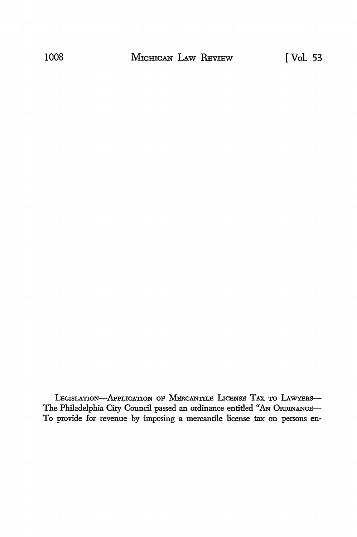LEGISLATION-APPLICATION OF MERCANTILE LICENSE TAX TO LAWYERS-The Philadelphia City Council passed an ordinance entitled "AN ORDINANCE-To provide for revenue by imposing a mercantile license tax on persons en-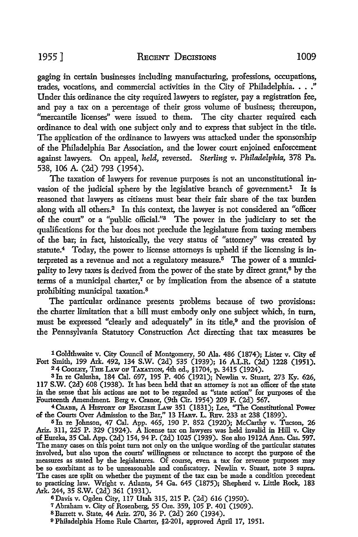gaging in certain businesses including manufacturing, professions, occupations, trades, vocations, and commercial activities in the City of Philadelphia. • . ." Under this ordinance the city required lawyers to register, pay a registration fee, and pay a tax on a percentage of their gross volume of business; thereupon, "mercantile licenses" were issued to them. The city charter required each ordinance to deal with one subject only and to express that subject in the title. The application of the ordinance to lawyers was attacked under the sponsorship of the Philadelphia Bar Association, and the lower court enjoined enforcement against lawyers. On appeal, *held,* reversed. *Sterling v. Philadelphia,* 378 Pa. 538, 106 A. (2d) 793 (1954).

The taxation of lawyers for revenue purposes is not an unconstitutional invasion of the judicial sphere by the legislative branch of government.<sup>1</sup> It is reasoned that lawyers as citizens must bear their fair share of the tax burden along with all others.2 In this context, the lawyer is not considered an "officer of the court" or a "public official."3 The power in the judiciary to set the qualifications for the bar does not preclude the legislature from taxing members of the bar; in fact, historically, the very status of "attorney" was created by statute.4 Today, the power to license attorneys is upheld if the licensing is interpreted as a revenue and not a regulatory measure.<sup> $5$ </sup> The power of a municipality to levy taxes is derived from the power of the state by direct grant, $6$  by the terms of a municipal charter, $7$  or by implication from the absence of a statute prohibiting municipal taxation. <sup>8</sup>

The particular ordinance presents problems because of two provisions: the charter limitation that a bill must embody only one subject which, in turn, must be expressed "clearly and adequately" in its title,<sup>9</sup> and the provision of the Pennsylvania Statutory Construction Act directing that tax measures be

1 Goldthwaite v. City Council of Montgomecy, 50 Ala. 486 (1874); Lister v. City of Fort Smith, 199 Ark. 492, 134 S.W. (2d) 535 (1939); 16 A.L.R. (2d) 1228 (1951). <sup>2</sup>4 Cooley, The Law of Taxation, 4th ed., §1704, p. 3415 (1924).

3 In re Galusha, 184 Cal. 697, 195 P. 406 (1921); Newlin v. Stuart, 273 Ky. 626, 117 S.W. (2d) 608 (1938). It has been held that an attomey is not an officer of the state in the sense that his actions are not to be regarded as "state action" for purposes of the Fourteenth Amendment. Berg v. Cranor, (9th Cir. 1954) 209 F. (2d) 567.

<sup>4</sup> CRABB, A HISTORY OF ENGLISH LAW 351 (1831); Lee, "The Constitutional Power of the Courts Over Admission to the Bar," 13 HARv. L. REv. 233 at 238 (1899).

5 In re Johnson, 47 Cal. App. 465, 190 P. 852 (1920); McCarthy v. Tucson, 26 Ariz. 311, 225 P. 329 (1924). A license tax on lawyers was held invalid in Hill v. City of Eureka, 35 Cal. App. (2d) 154, 94 P. (2d) 1025 (1939). See also 1912A Ann. Cas. 597. The many cases on this point tum not only on the unique wording of the particular statutes involved, but also upon the courts' willingness or reluctance to accept the purpose of **the**  measures as stated by the legislatures. Of course, even a tax for revenue purposes may **be** so exorbitant as to be unreasonable and confiscatory. Newlin v. Stuart, note 3 supra. The cases are split on whether the payment of the tax can be made a condition precedent to practicing law. Wright v. Atlanta, 54 Ga. 645 (1875); Shepherd v. Little Rock, 183 Ark. 244, 35 S.W. (2d) 361 (1931).

6Davis v. Ogden City, 117 Utah 315, 215 P. (2d) 616 (1950).

<sup>7</sup>Abraham v. City of Rosenberg, 55 Ore. 359, 105 P. 401 (1909). s Barrett v. State, 44 Ariz. 270, 36 P. (2d) 260 (1934).

9 Philadelphia Home Rule Charter, §2-201, approved April 17, 1951.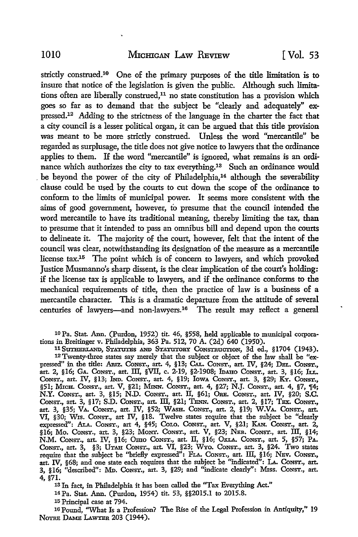strictly construed.10 One of the primary purposes of the title limitation is to insure that notice of the legislation is given the public. Although such limitations often are liberally construed,11 no state constitution has a provision which goes so far as to demand that the subject be "clearly and adequately" expressed.12 Adding to the strictness of the language in the charter the fact that a city council is a lesser political organ, it can be argued that this title provision was meant to be more strictly construed. Unless the word "mercantile" be regarded as surplusage, the title does not give notice to lawyers that the ordinance applies to them. If the word "mercantile" is ignored, what remains is an ordinance which authorizes the city to tax everything.13 Such an ordinance would be beyond the power of the city of Philadelphia,<sup>14</sup> although the severability clause could be used by the courts to cut down the scope of the ordinance to conform to the limits of municipal power. It seems more consistent with the aims of good government, however, to presume that the council intended the word mercantile to have its traditional meaning, thereby limiting the tax, than to presume that it intended to pass an omnibus bill and depend upon the courts to delineate it. The majority of the court, however, felt that the intent of the council was clear, notwithstanding its designation of the measure as a mercantile license tax.<sup>15</sup> The point which is of concern to lawyers, and which provoked Justice Musmanno's sharp dissent, is the clear implication of the court's holding: if the license tax is applicable to lawyers, and if the ordinance conforms to the mechanical requirements of title, then the practice of law is a business of a mercantile character. This is a dramatic departure from the attitude of several centuries of lawyers-and non-lawyers.16 The result may reflect a general

10 Pa. Stat. Ann. (Purdon, 1952) tit. 46, §558, held applicable to municipal corporations in Breitinger v. Philadelphia, 363 Pa. 512, 70 A. (2d) 640 (1950).

<sup>11</sup> SUTHERLAND, STATUTES AND STATUTORY CONSTRUCTION, 3d ed., §1704 (1943).

12 Twenty-three states say merely that the subject or object of the law shall be "expressed" in the title: Amz. CoNsT., art. 4, §13; CAL. CoNsT., art. IV, §24; DBL. CoNST., art. 2, §16; GA. CoNST., art. III, §VII, c. 2-19, §2-1908; IDAHO CONST., art. 3, §16; Ir.r.. CoNST., art. IV, §13; IND. CoNsT., art. 4, §19; IowA CoNST., art. 3, §29; KY. CoNsT., §51; Мюн. Const., art. V, §21; Милл. Const., art. 4, §27; N.J. Const., art. 4, §7, ¶4;<br>N.Y. Const., art. 3, §15; N.D. Const., art. II, §61; Ore. Const., art. IV, §20; S.C. CONST., art. 3, §17; S.D. CONST., art. III, §21; TENN. CONST., art. 2, §17; TEX. CONST., art. 3, §35; VA. CONST., art. IV, §52; WASH. CONST., art. 2, §19; W.VA. CONST., art. VI, §30; Wis. CoNsT., art IV, §18. Twelve states require that the subject be "clearly expressed": ALA. CoNST., art 4, §45; CoLo. CoNsT., art. V, §21; KAN. CONST., art. 2, §16; Mo. CONST., art. 3, §23; MoNT. CoNsT., art. V, §23; NEB. CoNST., art. III, §14; N.M. CoNST., art. IV, §16; Omo CoNsT., art. II, §16; OKLA. CoNsT., art. 5, §57; PA. CoNST., art. 3, §3; UTAH CoNsT., art. VI, §23; WYo. CoNsT., art. 3, §24. Two states require that the subject be ''brieHy expressed": FLA. CoNsT., art. III, §16; NBv. CONST., art. IV, §68; and one state each requires that the subject be "indicated": LA. CoNST., art. 3, §16; "described": MD. CoNST,, art. 3, §29; and "indicate clearly'': Miss. CoNsT., art. 4, §71.

13 In fact, in Philadelphia it has been called the ''Tax Everything Act." <sup>14</sup>Pa. Stat. Ann. (Purdon, 1954) tit. 53, §§2015.1 to 2015.8.

15 Principal case at 794.

16 Pound, ''What Is a Profession? The Rise of the Legal Profession in Antiquity," 19 NOTRE DAME LAWYER 203 (1944).